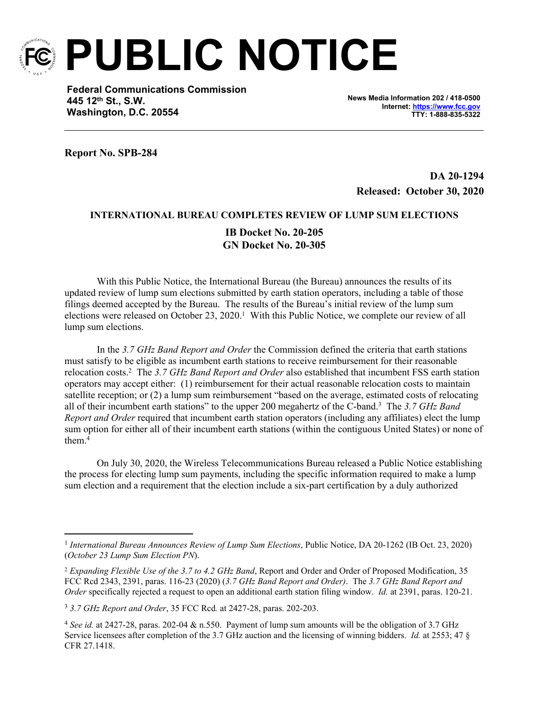

**PUBLIC NOTICE**

**Federal Communications Commission 445 12th St., S.W. Washington, D.C. 20554**

**News Media Information 202 / 418-0500 Internet:<https://www.fcc.gov> TTY: 1-888-835-5322**

**Report No. SPB-284**

**DA 20-1294 Released: October 30, 2020**

## **INTERNATIONAL BUREAU COMPLETES REVIEW OF LUMP SUM ELECTIONS**

## **IB Docket No. 20-205 GN Docket No. 20-305**

With this Public Notice, the International Bureau (the Bureau) announces the results of its updated review of lump sum elections submitted by earth station operators, including a table of those filings deemed accepted by the Bureau. The results of the Bureau's initial review of the lump sum elections were released on October 23, 2020.<sup>1</sup> With this Public Notice, we complete our review of all lump sum elections.

In the *3.7 GHz Band Report and Order* the Commission defined the criteria that earth stations must satisfy to be eligible as incumbent earth stations to receive reimbursement for their reasonable relocation costs.<sup>2</sup> The *3.7 GHz Band Report and Order* also established that incumbent FSS earth station operators may accept either: (1) reimbursement for their actual reasonable relocation costs to maintain satellite reception; or (2) a lump sum reimbursement "based on the average, estimated costs of relocating all of their incumbent earth stations" to the upper 200 megahertz of the C-band.<sup>3</sup> The *3.7 GHz Band Report and Order* required that incumbent earth station operators (including any affiliates) elect the lump sum option for either all of their incumbent earth stations (within the contiguous United States) or none of them.<sup>4</sup>

On July 30, 2020, the Wireless Telecommunications Bureau released a Public Notice establishing the process for electing lump sum payments, including the specific information required to make a lump sum election and a requirement that the election include a six-part certification by a duly authorized

<sup>&</sup>lt;sup>1</sup> International Bureau Announces Review of Lump Sum Elections, Public Notice, DA 20-1262 (IB Oct. 23, 2020) (*October 23 Lump Sum Election PN*).

<sup>2</sup> *Expanding Flexible Use of the 3.7 to 4.2 GHz Band*, Report and Order and Order of Proposed Modification, 35 FCC Rcd 2343, 2391, paras. 116-23 (2020) (*3.7 GHz Band Report and Order)*. The *3.7 GHz Band Report and Order* specifically rejected a request to open an additional earth station filing window. *Id.* at 2391, paras. 120-21.

<sup>3</sup> *3.7 GHz Report and Order*, 35 FCC Rcd*.* at 2427-28, paras. 202-203.

<sup>4</sup> *See id.* at 2427-28, paras. 202-04 & n.550. Payment of lump sum amounts will be the obligation of 3.7 GHz Service licensees after completion of the 3.7 GHz auction and the licensing of winning bidders. *Id.* at 2553; 47 § CFR 27.1418.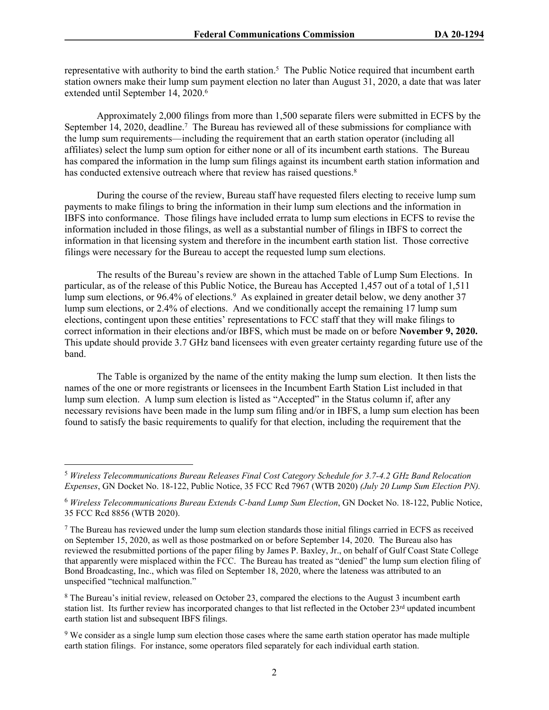representative with authority to bind the earth station.<sup>5</sup> The Public Notice required that incumbent earth station owners make their lump sum payment election no later than August 31, 2020, a date that was later extended until September 14, 2020.<sup>6</sup>

Approximately 2,000 filings from more than 1,500 separate filers were submitted in ECFS by the September 14, 2020, deadline.<sup>7</sup> The Bureau has reviewed all of these submissions for compliance with the lump sum requirements—including the requirement that an earth station operator (including all affiliates) select the lump sum option for either none or all of its incumbent earth stations. The Bureau has compared the information in the lump sum filings against its incumbent earth station information and has conducted extensive outreach where that review has raised questions.<sup>8</sup>

During the course of the review, Bureau staff have requested filers electing to receive lump sum payments to make filings to bring the information in their lump sum elections and the information in IBFS into conformance. Those filings have included errata to lump sum elections in ECFS to revise the information included in those filings, as well as a substantial number of filings in IBFS to correct the information in that licensing system and therefore in the incumbent earth station list. Those corrective filings were necessary for the Bureau to accept the requested lump sum elections.

The results of the Bureau's review are shown in the attached Table of Lump Sum Elections. In particular, as of the release of this Public Notice, the Bureau has Accepted 1,457 out of a total of 1,511 lump sum elections, or 96.4% of elections.<sup>9</sup> As explained in greater detail below, we deny another 37 lump sum elections, or 2.4% of elections. And we conditionally accept the remaining 17 lump sum elections, contingent upon these entities' representations to FCC staff that they will make filings to correct information in their elections and/or IBFS, which must be made on or before **November 9, 2020.** This update should provide 3.7 GHz band licensees with even greater certainty regarding future use of the band.

The Table is organized by the name of the entity making the lump sum election. It then lists the names of the one or more registrants or licensees in the Incumbent Earth Station List included in that lump sum election. A lump sum election is listed as "Accepted" in the Status column if, after any necessary revisions have been made in the lump sum filing and/or in IBFS, a lump sum election has been found to satisfy the basic requirements to qualify for that election, including the requirement that the

<sup>5</sup> *Wireless Telecommunications Bureau Releases Final Cost Category Schedule for 3.7-4.2 GHz Band Relocation Expenses*, GN Docket No. 18-122, Public Notice, 35 FCC Rcd 7967 (WTB 2020) *(July 20 Lump Sum Election PN).*

<sup>6</sup> *Wireless Telecommunications Bureau Extends C-band Lump Sum Election*, GN Docket No. 18-122, Public Notice, 35 FCC Rcd 8856 (WTB 2020).

<sup>&</sup>lt;sup>7</sup> The Bureau has reviewed under the lump sum election standards those initial filings carried in ECFS as received on September 15, 2020, as well as those postmarked on or before September 14, 2020. The Bureau also has reviewed the resubmitted portions of the paper filing by James P. Baxley, Jr., on behalf of Gulf Coast State College that apparently were misplaced within the FCC. The Bureau has treated as "denied" the lump sum election filing of Bond Broadcasting, Inc., which was filed on September 18, 2020, where the lateness was attributed to an unspecified "technical malfunction."

<sup>&</sup>lt;sup>8</sup> The Bureau's initial review, released on October 23, compared the elections to the August 3 incumbent earth station list. Its further review has incorporated changes to that list reflected in the October  $23^{rd}$  updated incumbent earth station list and subsequent IBFS filings.

<sup>&</sup>lt;sup>9</sup> We consider as a single lump sum election those cases where the same earth station operator has made multiple earth station filings. For instance, some operators filed separately for each individual earth station.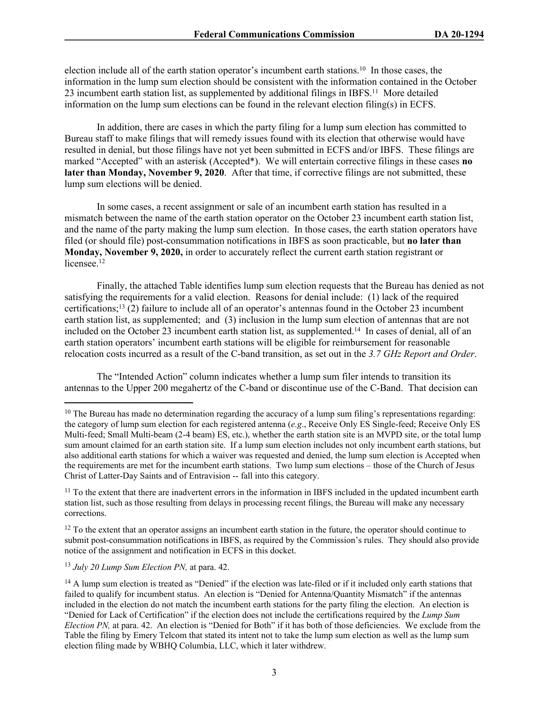election include all of the earth station operator's incumbent earth stations.<sup>10</sup> In those cases, the information in the lump sum election should be consistent with the information contained in the October 23 incumbent earth station list, as supplemented by additional filings in IBFS.<sup>11</sup> More detailed information on the lump sum elections can be found in the relevant election filing(s) in ECFS.

In addition, there are cases in which the party filing for a lump sum election has committed to Bureau staff to make filings that will remedy issues found with its election that otherwise would have resulted in denial, but those filings have not yet been submitted in ECFS and/or IBFS. These filings are marked "Accepted" with an asterisk (Accepted\*). We will entertain corrective filings in these cases **no later than Monday, November 9, 2020**. After that time, if corrective filings are not submitted, these lump sum elections will be denied.

In some cases, a recent assignment or sale of an incumbent earth station has resulted in a mismatch between the name of the earth station operator on the October 23 incumbent earth station list, and the name of the party making the lump sum election. In those cases, the earth station operators have filed (or should file) post-consummation notifications in IBFS as soon practicable, but **no later than Monday, November 9, 2020,** in order to accurately reflect the current earth station registrant or licensee.<sup>12</sup>

Finally, the attached Table identifies lump sum election requests that the Bureau has denied as not satisfying the requirements for a valid election. Reasons for denial include: (1) lack of the required certifications;<sup>13</sup> (2) failure to include all of an operator's antennas found in the October 23 incumbent earth station list, as supplemented; and (3) inclusion in the lump sum election of antennas that are not included on the October 23 incumbent earth station list, as supplemented.<sup>14</sup> In cases of denial, all of an earth station operators' incumbent earth stations will be eligible for reimbursement for reasonable relocation costs incurred as a result of the C-band transition, as set out in the *3.7 GHz Report and Order*.

The "Intended Action" column indicates whether a lump sum filer intends to transition its antennas to the Upper 200 megahertz of the C-band or discontinue use of the C-Band. That decision can

<sup>13</sup> *July 20 Lump Sum Election PN,* at para. 42.

<sup>&</sup>lt;sup>10</sup> The Bureau has made no determination regarding the accuracy of a lump sum filing's representations regarding: the category of lump sum election for each registered antenna (*e.g*., Receive Only ES Single-feed; Receive Only ES Multi-feed; Small Multi-beam (2-4 beam) ES, etc.), whether the earth station site is an MVPD site, or the total lump sum amount claimed for an earth station site. If a lump sum election includes not only incumbent earth stations, but also additional earth stations for which a waiver was requested and denied, the lump sum election is Accepted when the requirements are met for the incumbent earth stations. Two lump sum elections – those of the Church of Jesus Christ of Latter-Day Saints and of Entravision -- fall into this category.

<sup>&</sup>lt;sup>11</sup> To the extent that there are inadvertent errors in the information in IBFS included in the updated incumbent earth station list, such as those resulting from delays in processing recent filings, the Bureau will make any necessary corrections.

 $12$  To the extent that an operator assigns an incumbent earth station in the future, the operator should continue to submit post-consummation notifications in IBFS, as required by the Commission's rules. They should also provide notice of the assignment and notification in ECFS in this docket.

<sup>&</sup>lt;sup>14</sup> A lump sum election is treated as "Denied" if the election was late-filed or if it included only earth stations that failed to qualify for incumbent status. An election is "Denied for Antenna/Quantity Mismatch" if the antennas included in the election do not match the incumbent earth stations for the party filing the election. An election is "Denied for Lack of Certification" if the election does not include the certifications required by the *Lump Sum Election PN,* at para. 42. An election is "Denied for Both" if it has both of those deficiencies. We exclude from the Table the filing by Emery Telcom that stated its intent not to take the lump sum election as well as the lump sum election filing made by WBHQ Columbia, LLC, which it later withdrew.